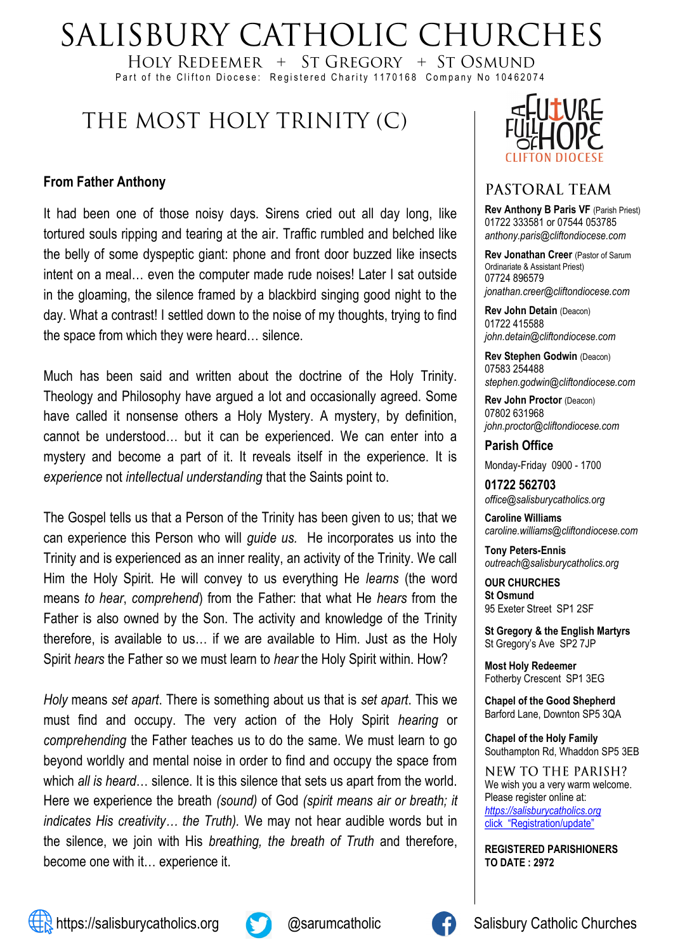# SALISBURY CATHOLIC CHURCHES

HOLY REDEEMER + ST GREGORY + ST OSMUND Part of the Clifton Diocese: Registered Charity 1170168 Company No 10462074

# THE MOST HOLY TRINITY (C)

### **From Father Anthony**

It had been one of those noisy days. Sirens cried out all day long, like tortured souls ripping and tearing at the air. Traffic rumbled and belched like the belly of some dyspeptic giant: phone and front door buzzed like insects intent on a meal… even the computer made rude noises! Later I sat outside in the gloaming, the silence framed by a blackbird singing good night to the day. What a contrast! I settled down to the noise of my thoughts, trying to find the space from which they were heard… silence.

Much has been said and written about the doctrine of the Holy Trinity. Theology and Philosophy have argued a lot and occasionally agreed. Some have called it nonsense others a Holy Mystery. A mystery, by definition, cannot be understood… but it can be experienced. We can enter into a mystery and become a part of it. It reveals itself in the experience. It is *experience* not *intellectual understanding* that the Saints point to.

The Gospel tells us that a Person of the Trinity has been given to us; that we can experience this Person who will *guide us.* He incorporates us into the Trinity and is experienced as an inner reality, an activity of the Trinity. We call Him the Holy Spirit. He will convey to us everything He *learns* (the word means *to hear*, *comprehend*) from the Father: that what He *hears* from the Father is also owned by the Son. The activity and knowledge of the Trinity therefore, is available to us… if we are available to Him. Just as the Holy Spirit *hears* the Father so we must learn to *hear* the Holy Spirit within. How?

*Holy* means *set apart*. There is something about us that is *set apart*. This we must find and occupy. The very action of the Holy Spirit *hearing* or *comprehending* the Father teaches us to do the same. We must learn to go beyond worldly and mental noise in order to find and occupy the space from which *all is heard*… silence. It is this silence that sets us apart from the world. Here we experience the breath *(sound)* of God *(spirit means air or breath; it indicates His creativity… the Truth).* We may not hear audible words but in the silence, we join with His *breathing, the breath of Truth* and therefore, become one with it… experience it.



## PASTORAL TEAM

**Rev Anthony B Paris VF (Parish Priest)** 01722 333581 or 07544 053785 *anthony.paris@cliftondiocese.com*

**Rev Jonathan Creer** (Pastor of Sarum Ordinariate & Assistant Priest) 07724 896579 *jonathan.creer@cliftondiocese.com*

**Rev John Detain** (Deacon) 01722 415588 *john.detain@cliftondiocese.com*

**Rev Stephen Godwin** (Deacon) 07583 254488 *stephen.godwin@cliftondiocese.com*

**Rev John Proctor** (Deacon) 07802 631968 *john.proctor@cliftondiocese.com*

**Parish Office** 

Monday-Friday 0900 - 1700

**01722 562703** *office@salisburycatholics.org*

**Caroline Williams** *caroline.williams@cliftondiocese.com*

**Tony Peters-Ennis** *outreach@salisburycatholics.org*

**OUR CHURCHES St Osmund** 95 Exeter Street SP1 2SF

**St Gregory & the English Martyrs** St Gregory's Ave SP2 7JP

**Most Holy Redeemer**  Fotherby Crescent SP1 3EG

**Chapel of the Good Shepherd** Barford Lane, Downton SP5 3QA

**Chapel of the Holy Family** Southampton Rd, Whaddon SP5 3EB

**NEW TO THE PARISH?** We wish you a very warm welcome. Please register online at: *[https://salisburycatholics.org](https://p1.pamis.co.uk/salisbury/onlined01cab)*  [click "Registration/update"](https://p1.pamis.co.uk/salisbury/onlined01cab) 

**REGISTERED PARISHIONERS TO DATE : 2972**



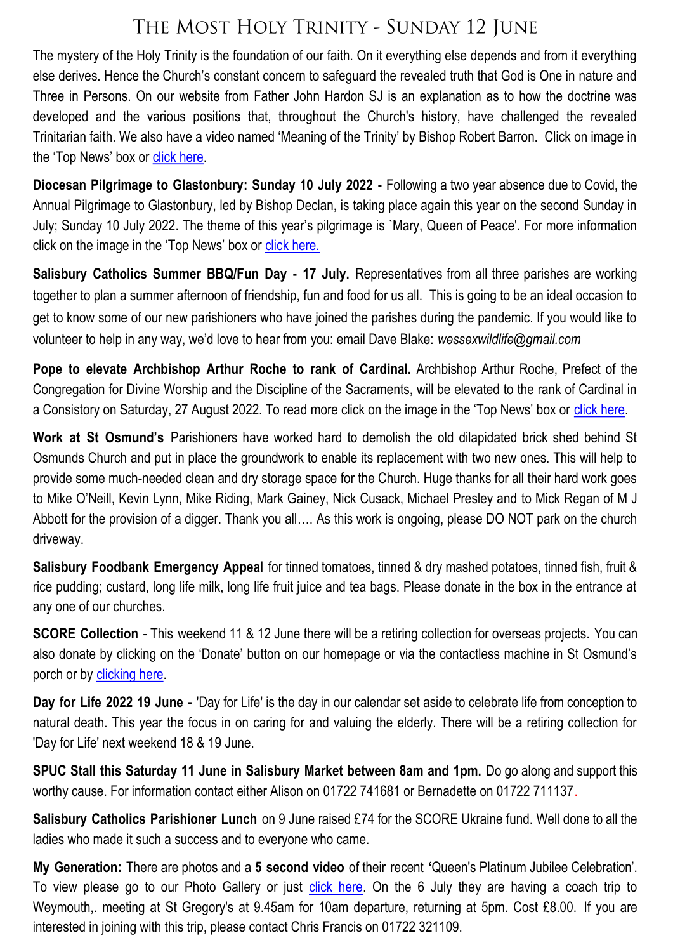# THE MOST HOLY TRINITY - SUNDAY 12 JUNE

The mystery of the Holy Trinity is the foundation of our faith. On it everything else depends and from it everything else derives. Hence the Church's constant concern to safeguard the revealed truth that God is One in nature and Three in Persons. On our website from Father John Hardon SJ is an explanation as to how the doctrine was developed and the various positions that, throughout the Church's history, have challenged the revealed Trinitarian faith. We also have a video named 'Meaning of the Trinity' by Bishop Robert Barron. Click on image in the 'Top News' box or [click here.](https://salisburycatholics.org/holy-trinity)

**Diocesan Pilgrimage to Glastonbury: Sunday 10 July 2022 -** Following a two year absence due to Covid, the Annual Pilgrimage to Glastonbury, led by Bishop Declan, is taking place again this year on the second Sunday in July; Sunday 10 July 2022. The theme of this year's pilgrimage is `Mary, Queen of Peace'. For more information click on the image in the 'Top News' box or [click here.](https://salisburycatholics.org/glastonbury)

**Salisbury Catholics Summer BBQ/Fun Day - 17 July.** Representatives from all three parishes are working together to plan a summer afternoon of friendship, fun and food for us all. This is going to be an ideal occasion to get to know some of our new parishioners who have joined the parishes during the pandemic. If you would like to volunteer to help in any way, we'd love to hear from you: email Dave Blake: *wessexwildlife@gmail.com* 

**Pope to elevate Archbishop Arthur Roche to rank of Cardinal.** Archbishop Arthur Roche, Prefect of the Congregation for Divine Worship and the Discipline of the Sacraments, will be elevated to the rank of Cardinal in a Consistory on Saturday, 27 August 2022. To read more click on the image in the 'Top News' box or [click here.](https://salisburycatholics.org/blog/pope-elevate-archbishop-arthur-roche-rank-cardinal)

**Work at St Osmund's** Parishioners have worked hard to demolish the old dilapidated brick shed behind St Osmunds Church and put in place the groundwork to enable its replacement with two new ones. This will help to provide some much-needed clean and dry storage space for the Church. Huge thanks for all their hard work goes to Mike O'Neill, Kevin Lynn, Mike Riding, Mark Gainey, Nick Cusack, Michael Presley and to Mick Regan of M J Abbott for the provision of a digger. Thank you all…. As this work is ongoing, please DO NOT park on the church driveway.

**Salisbury Foodbank Emergency Appeal** for tinned tomatoes, tinned & dry mashed potatoes, tinned fish, fruit & rice pudding; custard, long life milk, long life fruit juice and tea bags. Please donate in the box in the entrance at any one of our churches.

**SCORE Collection** - This weekend 11 & 12 June there will be a retiring collection for overseas projects**.** You can also donate by clicking on the 'Donate' button on our homepage or via the contactless machine in St Osmund's porch or by clicking here.

**Day for Life 2022 19 June -** 'Day for Life' is the day in our calendar set aside to celebrate life from conception to natural death. This year the focus in on caring for and valuing the elderly. There will be a retiring collection for 'Day for Life' next weekend 18 & 19 June.

**SPUC Stall this Saturday 11 June in Salisbury Market between 8am and 1pm.** Do go along and support this worthy cause. For information contact either Alison on 01722 741681 or Bernadette on 01722 711137.

**Salisbury Catholics Parishioner Lunch** on 9 June raised £74 for the SCORE Ukraine fund. Well done to all the ladies who made it such a success and to everyone who came.

**My Generation:** There are photos and a **5 second video** of their recent **'**Queen's Platinum Jubilee Celebration'. To view please go to our Photo Gallery or just [click here.](https://salisburycatholics.org/my-generation-jubilee-party) On the 6 July they are having a coach trip to Weymouth,. meeting at St Gregory's at 9.45am for 10am departure, returning at 5pm. Cost £8.00. If you are interested in joining with this trip, please contact Chris Francis on 01722 321109.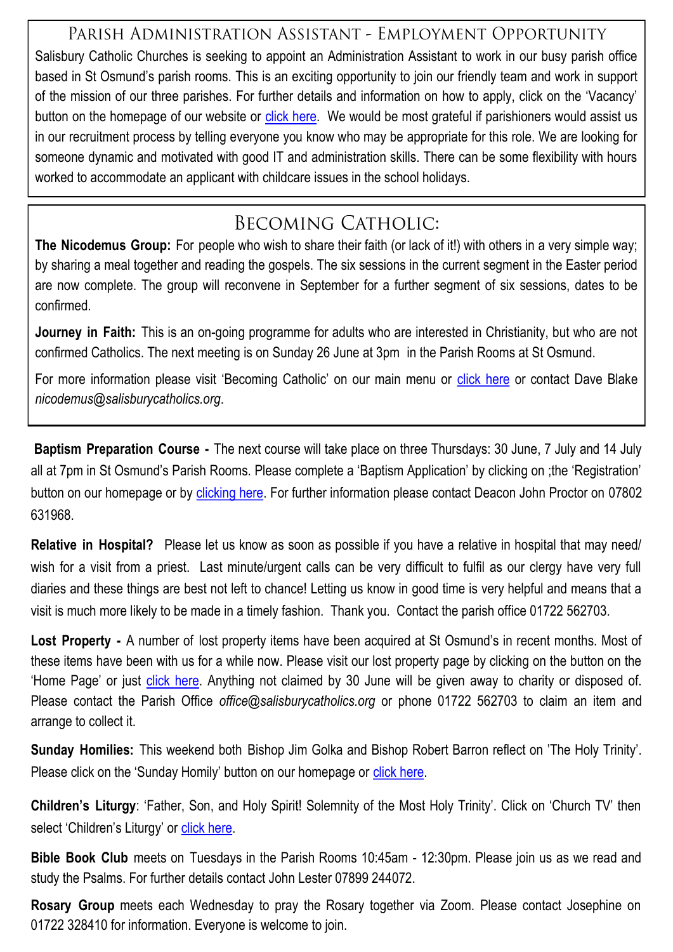## PARISH ADMINISTRATION ASSISTANT - EMPLOYMENT OPPORTUNITY

Salisbury Catholic Churches is seeking to appoint an Administration Assistant to work in our busy parish office based in St Osmund's parish rooms. This is an exciting opportunity to join our friendly team and work in support of the mission of our three parishes. For further details and information on how to apply, click on the 'Vacancy' button on the homepage of our website or [click here.](https://salisburycatholics.org/vacancies) We would be most grateful if parishioners would assist us in our recruitment process by telling everyone you know who may be appropriate for this role. We are looking for someone dynamic and motivated with good IT and administration skills. There can be some flexibility with hours worked to accommodate an applicant with childcare issues in the school holidays.

## **BECOMING CATHOLIC:**

**The Nicodemus Group:** For people who wish to share their faith (or lack of it!) with others in a very simple way; by sharing a meal together and reading the gospels. The six sessions in the current segment in the Easter period are now complete. The group will reconvene in September for a further segment of six sessions, dates to be confirmed.

**Journey in Faith:** This is an on-going programme for adults who are interested in Christianity, but who are not confirmed Catholics. The next meeting is on Sunday 26 June at 3pm in the Parish Rooms at St Osmund.

For more information please visit 'Becoming Catholic' on our main menu or [click here](https://salisburycatholics.org/becoming-catholic-0) or contact Dave Blake *nicodemus@salisburycatholics.org*.

**Baptism Preparation Course -** The next course will take place on three Thursdays: 30 June, 7 July and 14 July all at 7pm in St Osmund's Parish Rooms. Please complete a 'Baptism Application' by clicking on ;the 'Registration' button on our homepage or by [clicking here.](https://p3.pamis.co.uk/salisbury/onlined01cab) For further information please contact Deacon John Proctor on 07802 631968.

**Relative in Hospital?** Please let us know as soon as possible if you have a relative in hospital that may need/ wish for a visit from a priest. Last minute/urgent calls can be very difficult to fulfil as our clergy have very full diaries and these things are best not left to chance! Letting us know in good time is very helpful and means that a visit is much more likely to be made in a timely fashion. Thank you. Contact the parish office 01722 562703.

**Lost Property -** A number of lost property items have been acquired at St Osmund's in recent months. Most of these items have been with us for a while now. Please visit our lost property page by clicking on the button on the 'Home Page' or just [click here.](https://salisburycatholics.org/lost-st-o) Anything not claimed by 30 June will be given away to charity or disposed of. Please contact the Parish Office *office@salisburycatholics.org* or phone 01722 562703 to claim an item and arrange to collect it.

**Sunday Homilies:** This weekend both Bishop Jim Golka and Bishop Robert Barron reflect on 'The Holy Trinity'. Please click on the 'Sunday Homily' button on our homepage or [click here.](https://salisburycatholics.org/sunday-homily)

**Children's Liturgy**: 'Father, Son, and Holy Spirit! Solemnity of the Most Holy Trinity'. Click on 'Church TV' then select 'Children's Liturgy' or [click here.](https://salisburycatholics.org/childrens-liturgy)

**Bible Book Club** meets on Tuesdays in the Parish Rooms 10:45am - 12:30pm. Please join us as we read and study the Psalms. For further details contact John Lester 07899 244072.

**Rosary Group** meets each Wednesday to pray the Rosary together via Zoom. Please contact Josephine on 01722 328410 for information. Everyone is welcome to join.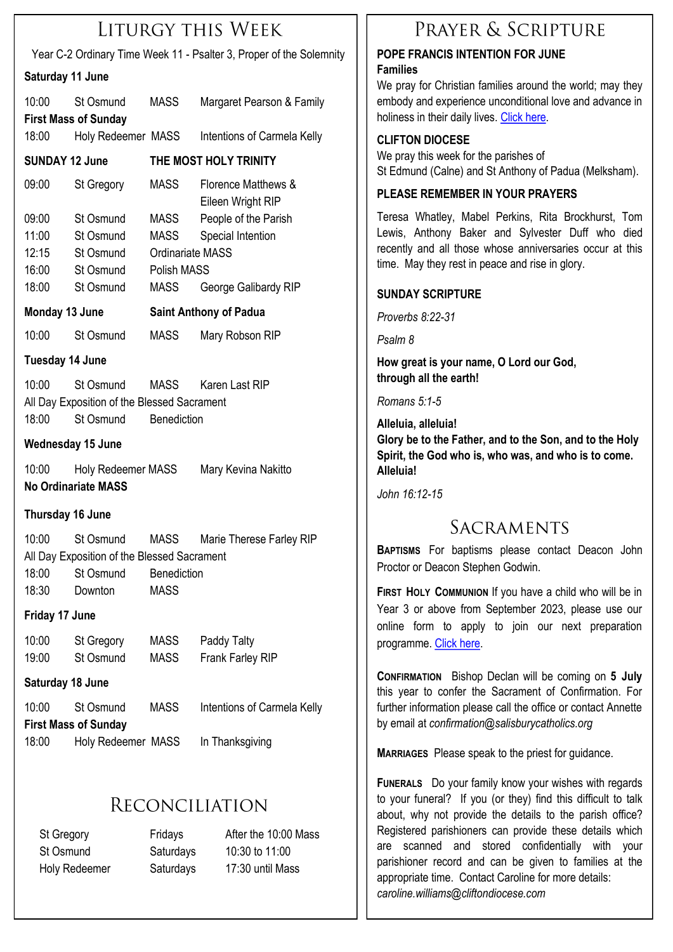## LITURGY THIS WEEK

Year C-2 Ordinary Time Week 11 - Psalter 3, Proper of the Solemnity

#### **Saturday 11 June**

| outuruu y                                                                                                                                                              | 11 JUNIO                                         |                               |                                          |
|------------------------------------------------------------------------------------------------------------------------------------------------------------------------|--------------------------------------------------|-------------------------------|------------------------------------------|
| 10:00                                                                                                                                                                  | St Osmund<br><b>First Mass of Sunday</b>         | <b>MASS</b>                   | Margaret Pearson & Family                |
| 18:00                                                                                                                                                                  | Holy Redeemer MASS                               |                               | Intentions of Carmela Kelly              |
| <b>SUNDAY 12 June</b>                                                                                                                                                  |                                                  | THE MOST HOLY TRINITY         |                                          |
| 09:00                                                                                                                                                                  | St Gregory                                       | MASS                          | Florence Matthews &<br>Eileen Wright RIP |
| 09:00                                                                                                                                                                  | St Osmund                                        | MASS                          | People of the Parish                     |
| 11:00                                                                                                                                                                  | St Osmund                                        | MASS                          | Special Intention                        |
| 12:15                                                                                                                                                                  | St Osmund                                        | Ordinariate MASS              |                                          |
| 16:00                                                                                                                                                                  | St Osmund                                        | Polish MASS                   |                                          |
| 18:00                                                                                                                                                                  | St Osmund                                        | <b>MASS</b>                   | George Galibardy RIP                     |
| Monday 13 June                                                                                                                                                         |                                                  | <b>Saint Anthony of Padua</b> |                                          |
| 10:00                                                                                                                                                                  | St Osmund                                        | <b>MASS</b>                   | Mary Robson RIP                          |
| <b>Tuesday 14 June</b>                                                                                                                                                 |                                                  |                               |                                          |
| 10:00<br>St Osmund<br>Karen Last RIP<br>MASS<br>All Day Exposition of the Blessed Sacrament<br>18:00<br>St Osmund<br>Benediction                                       |                                                  |                               |                                          |
| <b>Wednesday 15 June</b>                                                                                                                                               |                                                  |                               |                                          |
| 10:00                                                                                                                                                                  | Holy Redeemer MASS<br><b>No Ordinariate MASS</b> |                               | Mary Kevina Nakitto                      |
| Thursday 16 June                                                                                                                                                       |                                                  |                               |                                          |
| 10:00<br>MASS<br>Marie Therese Farley RIP<br>St Osmund<br>All Day Exposition of the Blessed Sacrament<br>18:00<br>St Osmund<br>Benediction<br>18:30<br>Downton<br>MASS |                                                  |                               |                                          |
| Friday 17 June                                                                                                                                                         |                                                  |                               |                                          |
| 10:00<br>19:00                                                                                                                                                         | St Gregory<br>St Osmund                          | <b>MASS</b><br>MASS           | Paddy Talty<br>Frank Farley RIP          |
| Saturday 18 June                                                                                                                                                       |                                                  |                               |                                          |
| 10:00<br><b>First Mass of Sunday</b>                                                                                                                                   | St Osmund                                        | <b>MASS</b>                   | Intentions of Carmela Kelly              |
| 18:00                                                                                                                                                                  |                                                  |                               |                                          |

## RECONCILIATION

St Gregory Fridays After the 10:00 Mass St Osmund Saturdays 10:30 to 11:00 Holy Redeemer Saturdays 17:30 until Mass

## PRAYER & SCRIPTURE

#### **POPE FRANCIS INTENTION FOR JUNE Families**

We pray for Christian families around the world; may they embody and experience unconditional love and advance in holiness in their daily lives. [Click here.](https://salisburycatholics.org/pope-francis)

#### **CLIFTON DIOCESE**

We pray this week for the parishes of St Edmund (Calne) and St Anthony of Padua (Melksham).

#### **PLEASE REMEMBER IN YOUR PRAYERS**

Teresa Whatley, Mabel Perkins, Rita Brockhurst, Tom Lewis, Anthony Baker and Sylvester Duff who died recently and all those whose anniversaries occur at this time. May they rest in peace and rise in glory.

#### **SUNDAY SCRIPTURE**

*Proverbs 8:22-31*

*Psalm 8*

**How great is your name, O Lord our God, through all the earth!**

*Romans 5:1-5*

**Alleluia, alleluia! Glory be to the Father, and to the Son, and to the Holy Spirit, the God who is, who was, and who is to come. Alleluia!**

*John 16:12-15*

## SACRAMENTS

**BAPTISMS** For baptisms please contact Deacon John Proctor or Deacon Stephen Godwin.

**FIRST HOLY COMMUNION** If you have a child who will be in Year 3 or above from September 2023, please use our online form to apply to join our next preparation programme. [Click here.](https://p3.pamis.co.uk/salisbury/onlined01cab)

**CONFIRMATION** Bishop Declan will be coming on **5 July**  this year to confer the Sacrament of Confirmation. For further information please call the office or contact Annette by email at *confirmation@salisburycatholics.org*

**MARRIAGES** Please speak to the priest for guidance.

**FUNERALS** Do your family know your wishes with regards to your funeral? If you (or they) find this difficult to talk about, why not provide the details to the parish office? Registered parishioners can provide these details which are scanned and stored confidentially with your parishioner record and can be given to families at the appropriate time. Contact Caroline for more details: *caroline.williams@cliftondiocese.com*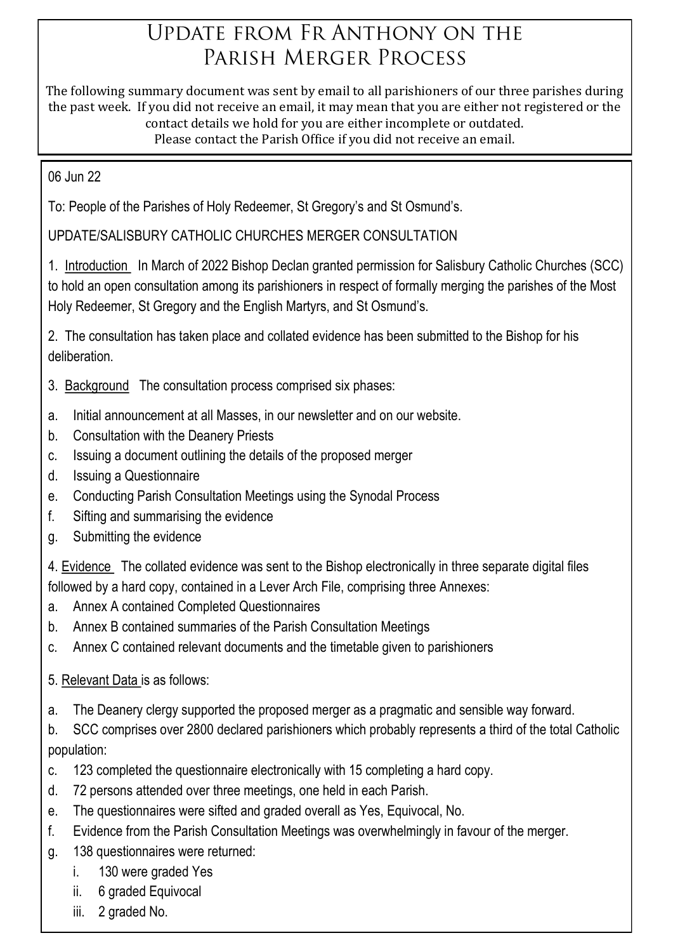# UPDATE FROM FR ANTHONY ON THE PARISH MERGER PROCESS

The following summary document was sent by email to all parishioners of our three parishes during the past week. If you did not receive an email, it may mean that you are either not registered or the contact details we hold for you are either incomplete or outdated. Please contact the Parish Office if you did not receive an email.

06 Jun 22

To: People of the Parishes of Holy Redeemer, St Gregory's and St Osmund's.

UPDATE/SALISBURY CATHOLIC CHURCHES MERGER CONSULTATION

1. Introduction In March of 2022 Bishop Declan granted permission for Salisbury Catholic Churches (SCC) to hold an open consultation among its parishioners in respect of formally merging the parishes of the Most Holy Redeemer, St Gregory and the English Martyrs, and St Osmund's.

2. The consultation has taken place and collated evidence has been submitted to the Bishop for his deliberation.

- 3. Background The consultation process comprised six phases:
- a. Initial announcement at all Masses, in our newsletter and on our website.
- b. Consultation with the Deanery Priests
- c. Issuing a document outlining the details of the proposed merger
- d. Issuing a Questionnaire
- e. Conducting Parish Consultation Meetings using the Synodal Process
- f. Sifting and summarising the evidence
- g. Submitting the evidence

4. Evidence The collated evidence was sent to the Bishop electronically in three separate digital files followed by a hard copy, contained in a Lever Arch File, comprising three Annexes:

- a. Annex A contained Completed Questionnaires
- b. Annex B contained summaries of the Parish Consultation Meetings
- c. Annex C contained relevant documents and the timetable given to parishioners
- 5. Relevant Data is as follows:
- a. The Deanery clergy supported the proposed merger as a pragmatic and sensible way forward.

b. SCC comprises over 2800 declared parishioners which probably represents a third of the total Catholic population:

- c. 123 completed the questionnaire electronically with 15 completing a hard copy.
- d. 72 persons attended over three meetings, one held in each Parish.
- e. The questionnaires were sifted and graded overall as Yes, Equivocal, No.
- f. Evidence from the Parish Consultation Meetings was overwhelmingly in favour of the merger.
- g. 138 questionnaires were returned:
	- i. 130 were graded Yes
	- ii. 6 graded Equivocal
	- iii. 2 graded No.